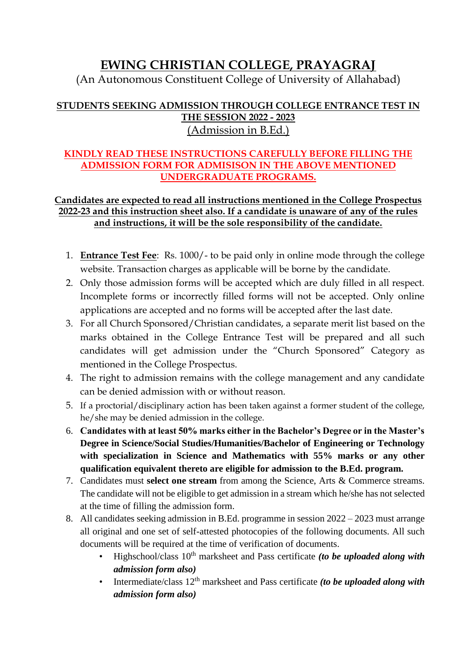## **EWING CHRISTIAN COLLEGE, PRAYAGRAJ**

(An Autonomous Constituent College of University of Allahabad)

## **STUDENTS SEEKING ADMISSION THROUGH COLLEGE ENTRANCE TEST IN THE SESSION 2022 - 2023** (Admission in B.Ed.)

## **KINDLY READ THESE INSTRUCTIONS CAREFULLY BEFORE FILLING THE ADMISSION FORM FOR ADMISISON IN THE ABOVE MENTIONED UNDERGRADUATE PROGRAMS.**

## **Candidates are expected to read all instructions mentioned in the College Prospectus 2022-23 and this instruction sheet also. If a candidate is unaware of any of the rules and instructions, it will be the sole responsibility of the candidate.**

- 1. **Entrance Test Fee**: Rs. 1000/- to be paid only in online mode through the college website. Transaction charges as applicable will be borne by the candidate.
- 2. Only those admission forms will be accepted which are duly filled in all respect. Incomplete forms or incorrectly filled forms will not be accepted. Only online applications are accepted and no forms will be accepted after the last date.
- 3. For all Church Sponsored/Christian candidates, a separate merit list based on the marks obtained in the College Entrance Test will be prepared and all such candidates will get admission under the "Church Sponsored" Category as mentioned in the College Prospectus.
- 4. The right to admission remains with the college management and any candidate can be denied admission with or without reason.
- 5. If a proctorial/disciplinary action has been taken against a former student of the college, he/she may be denied admission in the college.
- 6. **Candidates with at least 50% marks either in the Bachelor's Degree or in the Master's Degree in Science/Social Studies/Humanities/Bachelor of Engineering or Technology with specialization in Science and Mathematics with 55% marks or any other qualification equivalent thereto are eligible for admission to the B.Ed. program.**
- 7. Candidates must **select one stream** from among the Science, Arts & Commerce streams. The candidate will not be eligible to get admission in a stream which he/she has not selected at the time of filling the admission form.
- 8. All candidates seeking admission in B.Ed. programme in session 2022 2023 must arrange all original and one set of self-attested photocopies of the following documents. All such documents will be required at the time of verification of documents.
	- Highschool/class 10<sup>th</sup> marksheet and Pass certificate *(to be uploaded along with admission form also)*
	- Intermediate/class 12<sup>th</sup> marksheet and Pass certificate *(to be uploaded along with admission form also)*